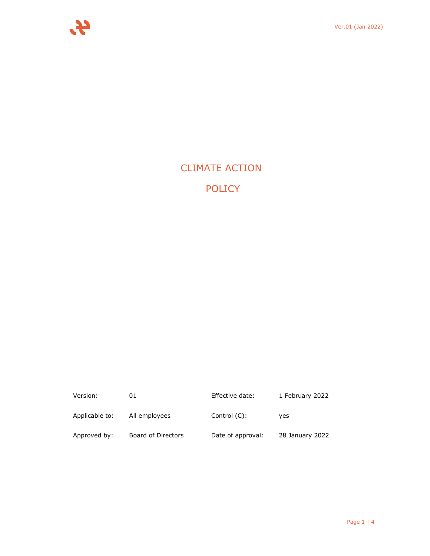

# CLIMATE ACTION POLICY

| Version:       | 01                 | Effective date:   | 1 February 2022 |
|----------------|--------------------|-------------------|-----------------|
| Applicable to: | All employees      | Control (C):      | ves             |
| Approved by:   | Board of Directors | Date of approval: | 28 January 2022 |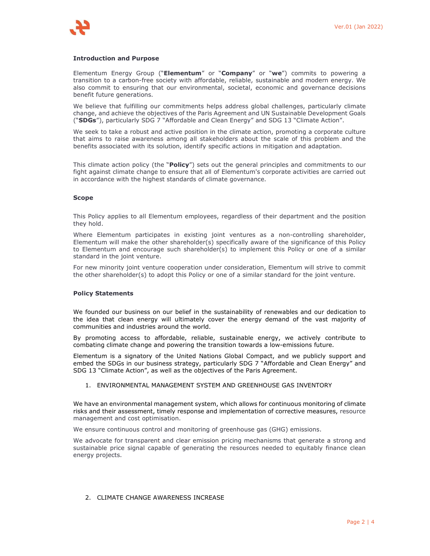#### **Introduction and Purpose**

Elementum Energy Group ("**Elementum**" or "**Company**" or "**we**") commits to powering a transition to a carbon-free society with affordable, reliable, sustainable and modern energy. We also commit to ensuring that our environmental, societal, economic and governance decisions benefit future generations.

We believe that fulfilling our commitments helps address global challenges, particularly climate change, and achieve the objectives of the Paris Agreement and UN Sustainable Development Goals ("**SDGs**"), particularly SDG 7 "Affordable and Clean Energy" and SDG 13 "Climate Action".

We seek to take a robust and active position in the climate action, promoting a corporate culture that aims to raise awareness among all stakeholders about the scale of this problem and the benefits associated with its solution, identify specific actions in mitigation and adaptation.

This climate action policy (the "**Policy**") sets out the general principles and commitments to our fight against climate change to ensure that all of Elementum's corporate activities are carried out in accordance with the highest standards of climate governance.

#### **Scope**

This Policy applies to all Elementum employees, regardless of their department and the position they hold.

Where Elementum participates in existing joint ventures as a non-controlling shareholder, Elementum will make the other shareholder(s) specifically aware of the significance of this Policy to Elementum and encourage such shareholder(s) to implement this Policy or one of a similar standard in the joint venture.

For new minority joint venture cooperation under consideration, Elementum will strive to commit the other shareholder(s) to adopt this Policy or one of a similar standard for the joint venture.

#### **Policy Statements**

We founded our business on our belief in the sustainability of renewables and our dedication to the idea that clean energy will ultimately cover the energy demand of the vast majority of communities and industries around the world.

By promoting access to affordable, reliable, sustainable energy, we actively contribute to combating climate change and powering the transition towards a low-emissions future.

Elementum is a signatory of the United Nations Global Compact, and we publicly support and embed the SDGs in our business strategy, particularly SDG 7 "Affordable and Clean Energy" and SDG 13 "Climate Action", as well as the objectives of the Paris Agreement.

#### 1. ENVIRONMENTAL MANAGEMENT SYSTEM AND GREENHOUSE GAS INVENTORY

We have an environmental management system, which allows for continuous monitoring of climate risks and their assessment, timely response and implementation of corrective measures, resource management and cost optimisation.

We ensure continuous control and monitoring of greenhouse gas (GHG) emissions.

We advocate for transparent and clear emission pricing mechanisms that generate a strong and sustainable price signal capable of generating the resources needed to equitably finance clean energy projects.

## 2. CLIMATE CHANGE AWARENESS INCREASE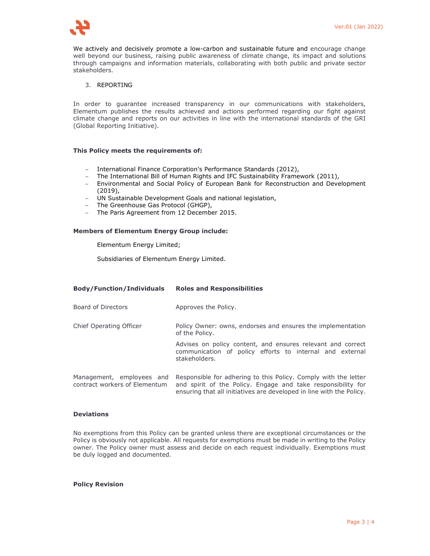

We actively and decisively promote a low-carbon and sustainable future and encourage change well beyond our business, raising public awareness of climate change, its impact and solutions through campaigns and information materials, collaborating with both public and private sector stakeholders.

## 3. REPORTING

In order to guarantee increased transparency in our communications with stakeholders, Elementum publishes the results achieved and actions performed regarding our fight against climate change and reports on our activities in line with the international standards of the GRI (Global Reporting Initiative).

#### **This Policy meets the requirements of:**

- International Finance Corporation's Performance Standards (2012),
- The International Bill of Human Rights and IFC Sustainability Framework (2011),
- Environmental and Social Policy of European Bank for Reconstruction and Development (2019),
- UN Sustainable Development Goals and national legislation,
- The Greenhouse Gas Protocol (GHGP),
- The Paris Agreement from 12 December 2015.

#### **Members of Elementum Energy Group include:**

Elementum Energy Limited;

Subsidiaries of Elementum Energy Limited.

## **Body/Function/Individuals Roles and Responsibilities**

- Board of Directors **Approves** the Policy.
- Chief Operating Officer Policy Owner: owns, endorses and ensures the implementation of the Policy.

Advises on policy content, and ensures relevant and correct communication of policy efforts to internal and external stakeholders.

Management, employees and Responsible for adhering to this Policy. Comply with the letter contract workers of Elementum and spirit of the Policy. Engage and take responsibility for ensuring that all initiatives are developed in line with the Policy.

## **Deviations**

No exemptions from this Policy can be granted unless there are exceptional circumstances or the Policy is obviously not applicable. All requests for exemptions must be made in writing to the Policy owner. The Policy owner must assess and decide on each request individually. Exemptions must be duly logged and documented.

#### **Policy Revision**